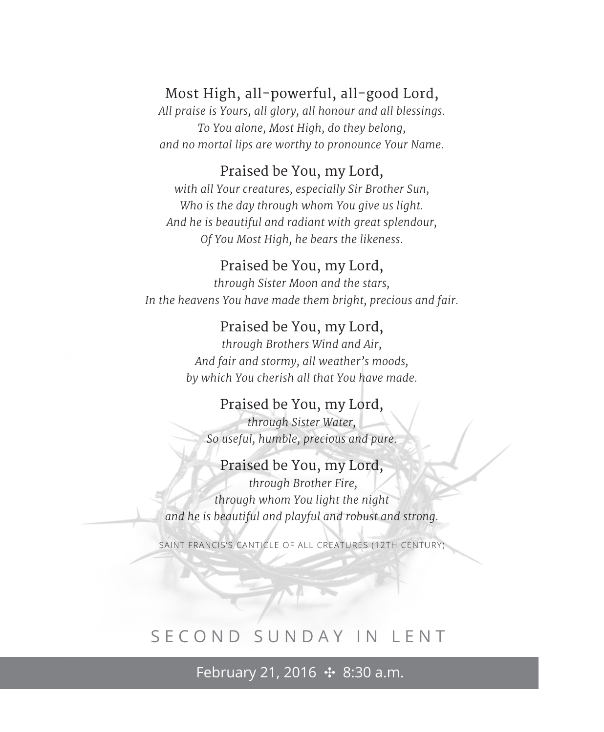# Most High, all-powerful, all-good Lord,

*All praise is Yours, all glory, all honour and all blessings. To You alone, Most High, do they belong, and no mortal lips are worthy to pronounce Your Name.*

# Praised be You, my Lord,

*with all Your creatures, especially Sir Brother Sun, Who is the day through whom You give us light. And he is beautiful and radiant with great splendour, Of You Most High, he bears the likeness.*

#### Praised be You, my Lord,

*through Sister Moon and the stars, In the heavens You have made them bright, precious and fair.*

#### Praised be You, my Lord,

*through Brothers Wind and Air, And fair and stormy, all weather's moods, by which You cherish all that You have made.*

#### Praised be You, my Lord,

*through Sister Water, So useful, humble, precious and pure.*

# Praised be You, my Lord,  *through Brother Fire, through whom You light the night and he is beautiful and playful and robust and strong.*

SAINT FRANCIS'S CANTICLE OF ALL CREATURES (12TH CENTURY)

# SECOND SUNDAY IN LENT

February 21, 2016 ✣ 8:30 a.m.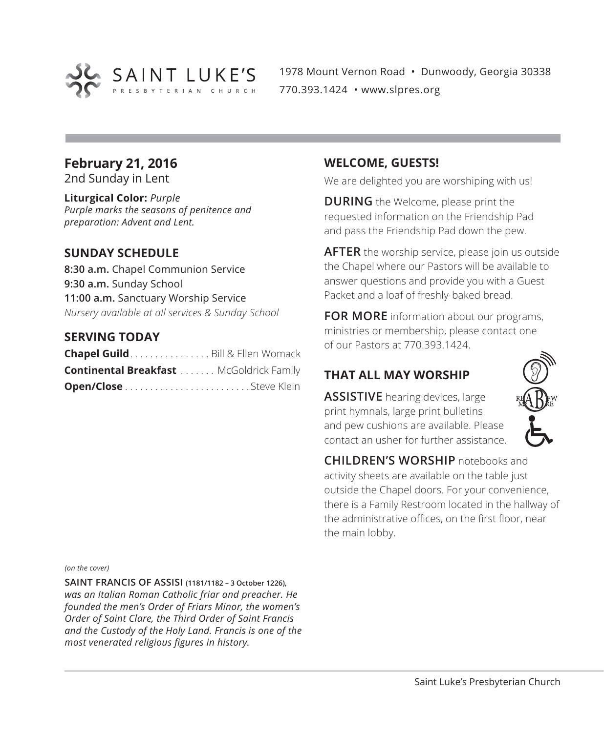

1978 Mount Vernon Road • Dunwoody, Georgia 30338 770.393.1424 • www.slpres.org

# **February 21, 2016**

2nd Sunday in Lent

**Liturgical Color:** *Purple Purple marks the seasons of penitence and preparation: Advent and Lent.*

#### **SUNDAY SCHEDULE**

**8:30 a.m.** Chapel Communion Service **9:30 a.m.** Sunday School **11:00 a.m.** Sanctuary Worship Service *Nursery available at all services & Sunday School*

#### **SERVING TODAY**

| Chapel Guild. Bill & Ellen Womack              |  |
|------------------------------------------------|--|
| <b>Continental Breakfast</b> McGoldrick Family |  |
|                                                |  |

#### **WELCOME, GUESTS!**

We are delighted you are worshiping with us!

**DURING** the Welcome, please print the requested information on the Friendship Pad and pass the Friendship Pad down the pew.

**AFTER** the worship service, please join us outside the Chapel where our Pastors will be available to answer questions and provide you with a Guest Packet and a loaf of freshly-baked bread.

**FOR MORE** information about our programs, ministries or membership, please contact one of our Pastors at 770.393.1424.

# **THAT ALL MAY WORSHIP**

**ASSISTIVE** hearing devices, large print hymnals, large print bulletins and pew cushions are available. Please contact an usher for further assistance.



**CHILDREN'S WORSHIP** notebooks and activity sheets are available on the table just outside the Chapel doors. For your convenience, there is a Family Restroom located in the hallway of the administrative offices, on the first floor, near the main lobby.

#### *(on the cover)*

**SAINT FRANCIS OF ASSISI (1181/1182 – 3 October 1226),** *was an Italian Roman Catholic friar and preacher. He founded the men's Order of Friars Minor, the women's Order of Saint Clare, the Third Order of Saint Francis and the Custody of the Holy Land. Francis is one of the most venerated religious figures in history.*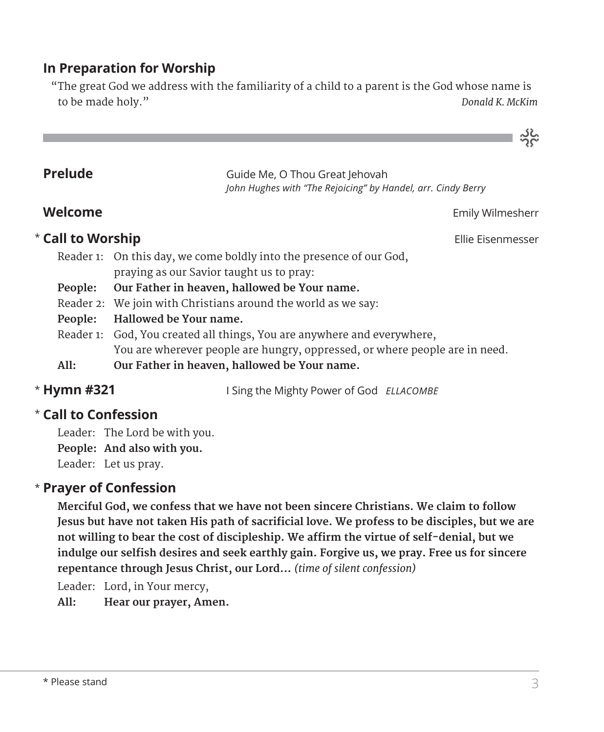# **In Preparation for Worship**

 "The great God we address with the familiarity of a child to a parent is the God whose name is to be made holy." *Donald K. McKim*

| Prelude           | Guide Me, O Thou Great Jehovah<br>John Hughes with "The Rejoicing" by Handel, arr. Cindy Berry                  |
|-------------------|-----------------------------------------------------------------------------------------------------------------|
| Welcome           | Emily Wilmesherr                                                                                                |
| * Call to Worship | Ellie Eisenmesser                                                                                               |
|                   | Reader 1: On this day, we come boldly into the presence of our God,<br>praying as our Savior taught us to pray: |
| People:           | Our Father in heaven, hallowed be Your name.                                                                    |
|                   | Reader 2: We join with Christians around the world as we say:                                                   |
| People:           | Hallowed be Your name.                                                                                          |
|                   | Reader 1: God, You created all things, You are anywhere and everywhere,                                         |
|                   | You are wherever people are hungry, oppressed, or where people are in need.                                     |
| All:              | Our Father in heaven, hallowed be Your name.                                                                    |
|                   |                                                                                                                 |

\* Hymn #321

**Hymn #321** I Sing the Mighty Power of God *ELLACOMBE*

# **Call to Confession**  \*

Leader: The Lord be with you. **People: And also with you.** Leader: Let us pray.

# **Prayer of Confession**  \*

 **Merciful God, we confess that we have not been sincere Christians. We claim to follow Jesus but have not taken His path of sacrificial love. We profess to be disciples, but we are not willing to bear the cost of discipleship. We affirm the virtue of self-denial, but we indulge our selfish desires and seek earthly gain. Forgive us, we pray. Free us for sincere repentance through Jesus Christ, our Lord…** *(time of silent confession)*

Leader: Lord, in Your mercy,

**All: Hear our prayer, Amen.**

ನ್ನಿಜ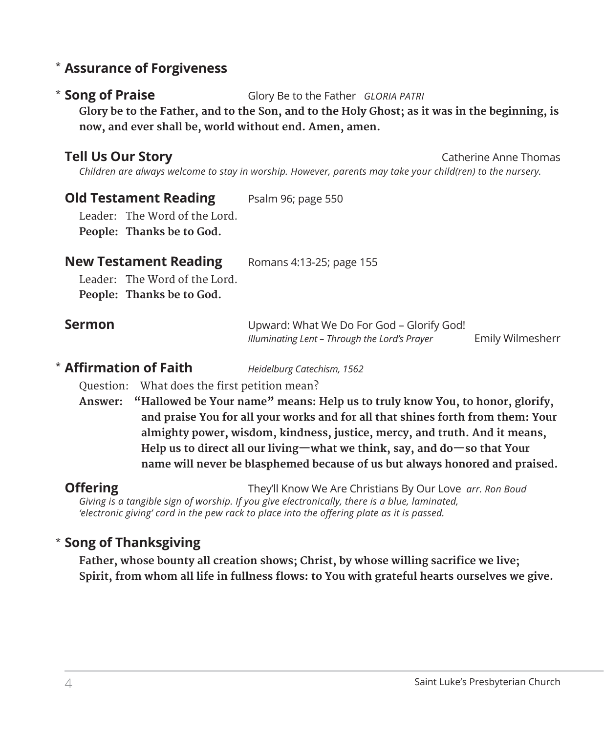# **Assurance of Forgiveness** \*

#### \* Song of Praise

**Song of Praise** Glory Be to the Father *GLORIA PATRI*

 **Glory be to the Father, and to the Son, and to the Holy Ghost; as it was in the beginning, is now, and ever shall be, world without end. Amen, amen.**

**Tell Us Our Story Catherine Anne Thomas** Catherine Anne Thomas

*Children are always welcome to stay in worship. However, parents may take your child(ren) to the nursery.* 

# **Old Testament Reading** Psalm 96; page 550

Leader: The Word of the Lord. **People: Thanks be to God.** 

#### **New Testament Reading** Romans 4:13-25; page 155

Leader: The Word of the Lord. **People: Thanks be to God.**

| <b>Sermon</b> | Upward: What We Do For God – Glorify God!     |                  |
|---------------|-----------------------------------------------|------------------|
|               | Illuminating Lent – Through the Lord's Prayer | Emily Wilmesherr |

# **Affirmation of Faith** *Heidelburg Catechism, 1562* \*

Question: What does the first petition mean?

**Answer: "Hallowed be Your name" means: Help us to truly know You, to honor, glorify, and praise You for all your works and for all that shines forth from them: Your almighty power, wisdom, kindness, justice, mercy, and truth. And it means, Help us to direct all our living—what we think, say, and do—so that Your name will never be blasphemed because of us but always honored and praised.**

**Offering** They'll Know We Are Christians By Our Love *arr. Ron Boud Giving is a tangible sign of worship. If you give electronically, there is a blue, laminated, 'electronic giving' card in the pew rack to place into the offering plate as it is passed.* 

# **Song of Thanksgiving** \*

**Father, whose bounty all creation shows; Christ, by whose willing sacrifice we live; Spirit, from whom all life in fullness flows: to You with grateful hearts ourselves we give.**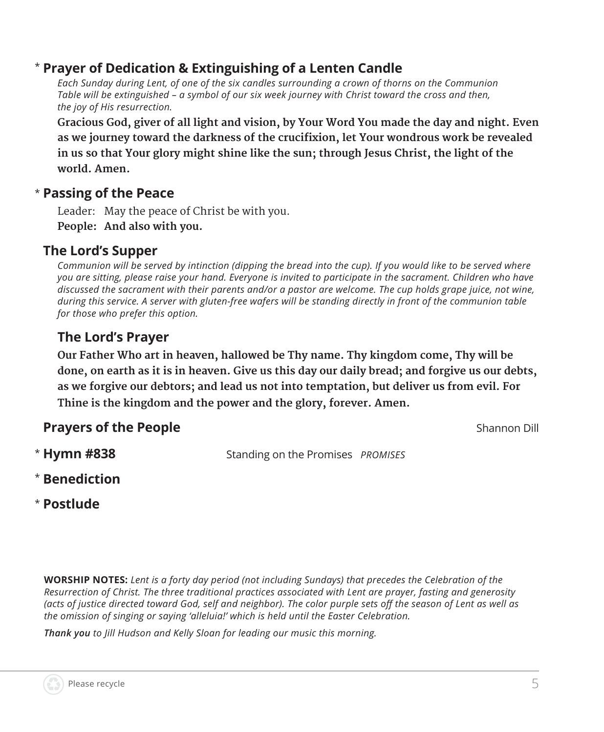#### **Prayer of Dedication & Extinguishing of a Lenten Candle** \*

*Each Sunday during Lent, of one of the six candles surrounding a crown of thorns on the Communion Table will be extinguished – a symbol of our six week journey with Christ toward the cross and then, the joy of His resurrection.* 

 **Gracious God, giver of all light and vision, by Your Word You made the day and night. Even as we journey toward the darkness of the crucifixion, let Your wondrous work be revealed in us so that Your glory might shine like the sun; through Jesus Christ, the light of the world. Amen.**

# **Passing of the Peace** \*

Leader: May the peace of Christ be with you. **People: And also with you.**

# **The Lord's Supper**

*Communion will be served by intinction (dipping the bread into the cup). If you would like to be served where you are sitting, please raise your hand. Everyone is invited to participate in the sacrament. Children who have discussed the sacrament with their parents and/or a pastor are welcome. The cup holds grape juice, not wine, during this service. A server with gluten-free wafers will be standing directly in front of the communion table for those who prefer this option.*

# **The Lord's Prayer**

 **Our Father Who art in heaven, hallowed be Thy name. Thy kingdom come, Thy will be done, on earth as it is in heaven. Give us this day our daily bread; and forgive us our debts, as we forgive our debtors; and lead us not into temptation, but deliver us from evil. For Thine is the kingdom and the power and the glory, forever. Amen.**

# **Prayers of the People Shannon Dill Prayers of the People**

\* Hymn #838

**Hymn #838** Standing on the Promises *PROMISES*

- **Benediction** \*
- **Postlude** \*

**WORSHIP NOTES:** *Lent is a forty day period (not including Sundays) that precedes the Celebration of the Resurrection of Christ. The three traditional practices associated with Lent are prayer, fasting and generosity (acts of justice directed toward God, self and neighbor). The color purple sets off the season of Lent as well as the omission of singing or saying 'alleluia!' which is held until the Easter Celebration.* 

*Thank you to Jill Hudson and Kelly Sloan for leading our music this morning.*

5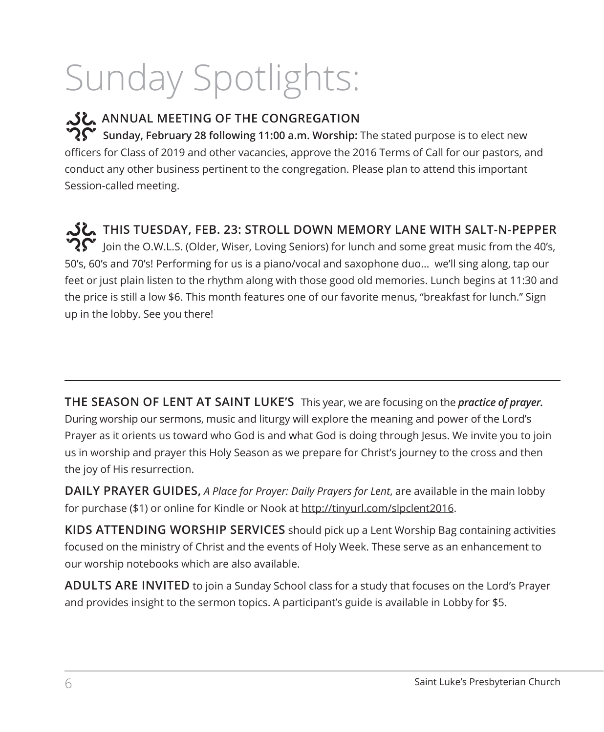# Sunday Spotlights:

# **ANNUAL MEETING OF THE CONGREGATION**

 $\mathbf{S}^{\mathbf{C}}$  Sunday, February 28 following 11:00 a.m. Worship: The stated purpose is to elect new officers for Class of 2019 and other vacancies, approve the 2016 Terms of Call for our pastors, and conduct any other business pertinent to the congregation. Please plan to attend this important Session-called meeting.

**THIS TUESDAY, FEB. 23: STROLL DOWN MEMORY LANE WITH SALT-N-PEPPER**   $\hat{\mathbf{C}}$  loin the O.W.L.S. (Older, Wiser, Loving Seniors) for lunch and some great music from the 40's, 50's, 60's and 70's! Performing for us is a piano/vocal and saxophone duo... we'll sing along, tap our feet or just plain listen to the rhythm along with those good old memories. Lunch begins at 11:30 and the price is still a low \$6. This month features one of our favorite menus, "breakfast for lunch." Sign up in the lobby. See you there!

**THE SEASON OF LENT AT SAINT LUKE'S** This year, we are focusing on the *practice of prayer.* During worship our sermons, music and liturgy will explore the meaning and power of the Lord's Prayer as it orients us toward who God is and what God is doing through Jesus. We invite you to join us in worship and prayer this Holy Season as we prepare for Christ's journey to the cross and then the joy of His resurrection.

**DAILY PRAYER GUIDES,** *A Place for Prayer: Daily Prayers for Lent*, are available in the main lobby for purchase (\$1) or online for Kindle or Nook at http://tinyurl.com/slpclent2016.

**KIDS ATTENDING WORSHIP SERVICES** should pick up a Lent Worship Bag containing activities focused on the ministry of Christ and the events of Holy Week. These serve as an enhancement to our worship notebooks which are also available.

**ADULTS ARE INVITED** to join a Sunday School class for a study that focuses on the Lord's Prayer and provides insight to the sermon topics. A participant's guide is available in Lobby for \$5.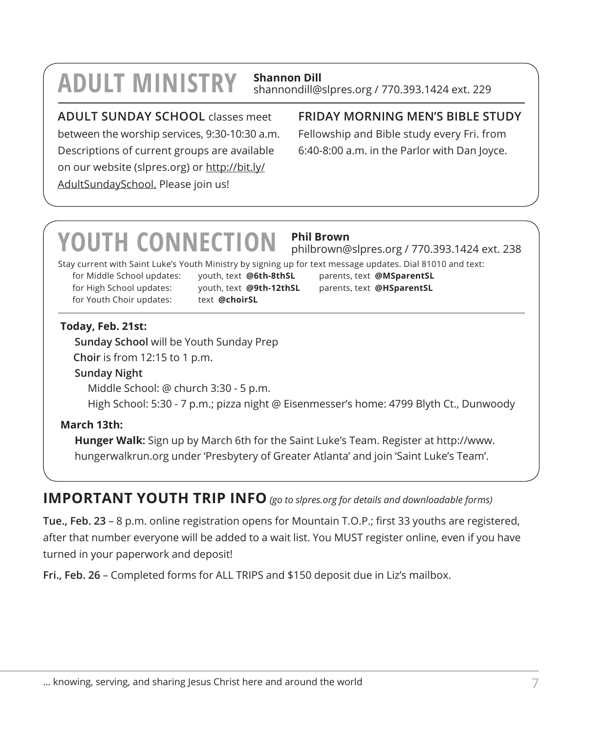# **ADULT MINISTRY Shannon Dill**

# shannondill@slpres.org / 770.393.1424 ext. 229

# **ADULT SUNDAY SCHOOL** classes meet

between the worship services, 9:30-10:30 a.m. Descriptions of current groups are available on our website (slpres.org) or http://bit.ly/ AdultSundaySchool. Please join us!

# **FRIDAY MORNING MEN'S BIBLE STUDY**

Fellowship and Bible study every Fri. from 6:40-8:00 a.m. in the Parlor with Dan Joyce.

# **YOUTH CONNECTION Phil Brown**

philbrown@slpres.org / 770.393.1424 ext. 238

Stay current with Saint Luke's Youth Ministry by signing up for text message updates. Dial 81010 and text:

for High School updates: youth, text **@9th-12thSL** parents, text **@HSparentSL** for Youth Choir updates: text **@choirSL** 

for Middle School updates: youth, text **@6th-8thSL** parents, text **@MSparentSL**

#### **Today, Feb. 21st:**

**Sunday School** will be Youth Sunday Prep

**Choir** is from 12:15 to 1 p.m.

#### **Sunday Night**

Middle School: @ church 3:30 - 5 p.m.

High School: 5:30 - 7 p.m.; pizza night @ Eisenmesser's home: 4799 Blyth Ct., Dunwoody

# **March 13th:**

 **Hunger Walk:** Sign up by March 6th for the Saint Luke's Team. Register at http://www. hungerwalkrun.org under 'Presbytery of Greater Atlanta' and join 'Saint Luke's Team'.

# **IMPORTANT YOUTH TRIP INFO** *(go to slpres.org for details and downloadable forms)*

**Tue., Feb. 23** – 8 p.m. online registration opens for Mountain T.O.P.; first 33 youths are registered, after that number everyone will be added to a wait list. You MUST register online, even if you have turned in your paperwork and deposit!

**Fri., Feb. 26** – Completed forms for ALL TRIPS and \$150 deposit due in Liz's mailbox.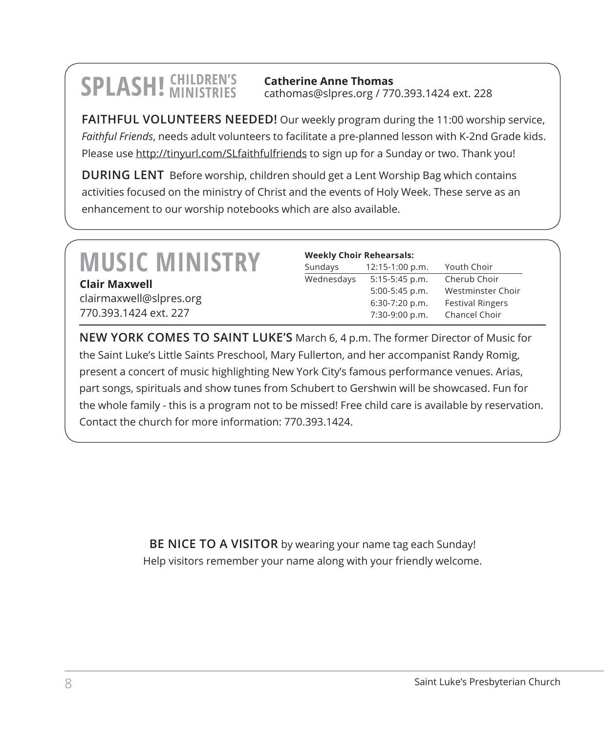**SPLASH!** CHILDREN'S

**Catherine Anne Thomas** cathomas@slpres.org / 770.393.1424 ext. 228

**FAITHFUL VOLUNTEERS NEEDED!** Our weekly program during the 11:00 worship service, *Faithful Friends*, needs adult volunteers to facilitate a pre-planned lesson with K-2nd Grade kids. Please use http://tinyurl.com/SLfaithfulfriends to sign up for a Sunday or two. Thank you!

**DURING LENT** Before worship, children should get a Lent Worship Bag which contains activities focused on the ministry of Christ and the events of Holy Week. These serve as an enhancement to our worship notebooks which are also available.

# **MUSIC MINISTRY**

**Clair Maxwell** clairmaxwell@slpres.org 770.393.1424 ext. 227

| <b>Weekly Choir Rehearsals:</b> |                 |                         |
|---------------------------------|-----------------|-------------------------|
| Sundays                         | 12:15-1:00 p.m. | Youth Choir             |
| Wednesdays                      | 5:15-5:45 p.m.  | Cherub Choir            |
|                                 | 5:00-5:45 p.m.  | Westminster Choir       |
|                                 | 6:30-7:20 p.m.  | <b>Festival Ringers</b> |
|                                 | 7:30-9:00 p.m.  | Chancel Choir           |

**NEW YORK COMES TO SAINT LUKE'S** March 6, 4 p.m. The former Director of Music for the Saint Luke's Little Saints Preschool, Mary Fullerton, and her accompanist Randy Romig, present a concert of music highlighting New York City's famous performance venues. Arias, part songs, spirituals and show tunes from Schubert to Gershwin will be showcased. Fun for the whole family - this is a program not to be missed! Free child care is available by reservation. Contact the church for more information: 770.393.1424.

> **BE NICE TO A VISITOR** by wearing your name tag each Sunday! Help visitors remember your name along with your friendly welcome.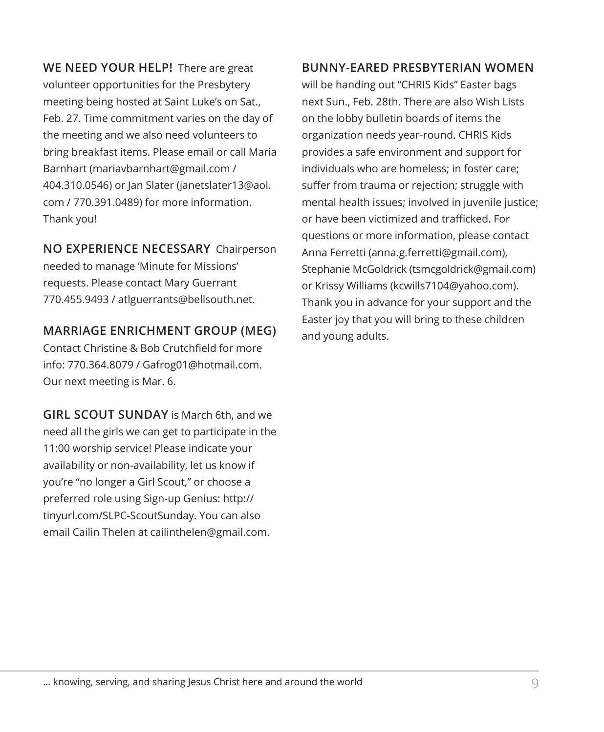**WE NEED YOUR HELP!** There are great volunteer opportunities for the Presbytery meeting being hosted at Saint Luke's on Sat., Feb. 27. Time commitment varies on the day of the meeting and we also need volunteers to bring breakfast items. Please email or call Maria Barnhart (mariavbarnhart@gmail.com / 404.310.0546) or Jan Slater (janetslater13@aol. com / 770.391.0489) for more information. Thank you!

# **NO EXPERIENCE NECESSARY** Chairperson needed to manage 'Minute for Missions' requests. Please contact Mary Guerrant

# **MARRIAGE ENRICHMENT GROUP (MEG)**

770.455.9493 / atlguerrants@bellsouth.net.

Contact Christine & Bob Crutchfield for more info: 770.364.8079 / Gafrog01@hotmail.com. Our next meeting is Mar. 6.

**GIRL SCOUT SUNDAY** is March 6th, and we need all the girls we can get to participate in the 11:00 worship service! Please indicate your availability or non-availability, let us know if you're "no longer a Girl Scout," or choose a preferred role using Sign-up Genius: http:// tinyurl.com/SLPC-ScoutSunday. You can also email Cailin Thelen at cailinthelen@gmail.com.

#### **BUNNY-EARED PRESBYTERIAN WOMEN**

will be handing out "CHRIS Kids" Easter bags next Sun., Feb. 28th. There are also Wish Lists on the lobby bulletin boards of items the organization needs year-round. CHRIS Kids provides a safe environment and support for individuals who are homeless; in foster care; suffer from trauma or rejection; struggle with mental health issues; involved in juvenile justice; or have been victimized and trafficked. For questions or more information, please contact Anna Ferretti (anna.g.ferretti@gmail.com), Stephanie McGoldrick (tsmcgoldrick@gmail.com) or Krissy Williams (kcwills7104@yahoo.com). Thank you in advance for your support and the Easter joy that you will bring to these children and young adults.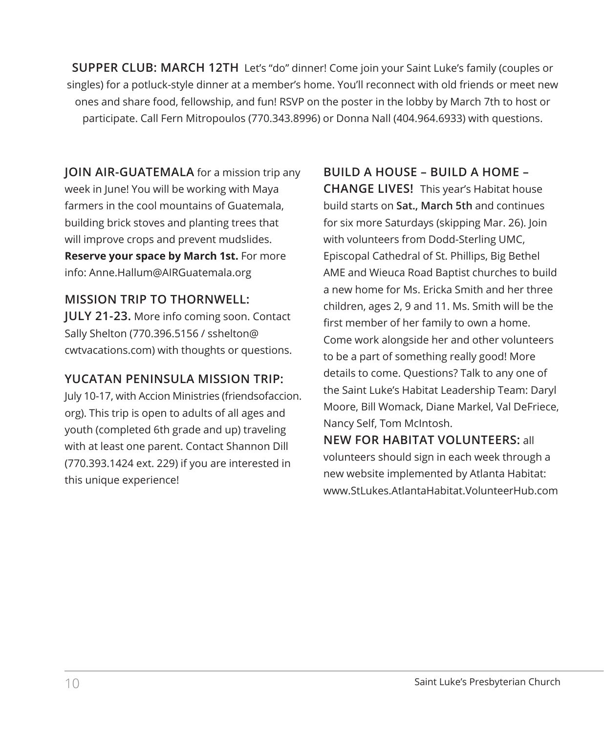**SUPPER CLUB: MARCH 12TH** Let's "do" dinner! Come join your Saint Luke's family (couples or singles) for a potluck-style dinner at a member's home. You'll reconnect with old friends or meet new ones and share food, fellowship, and fun! RSVP on the poster in the lobby by March 7th to host or participate. Call Fern Mitropoulos (770.343.8996) or Donna Nall (404.964.6933) with questions.

**JOIN AIR-GUATEMALA** for a mission trip any week in June! You will be working with Maya farmers in the cool mountains of Guatemala, building brick stoves and planting trees that will improve crops and prevent mudslides. **Reserve your space by March 1st.** For more info: Anne.Hallum@AIRGuatemala.org

#### **MISSION TRIP TO THORNWELL:**

**JULY 21-23.** More info coming soon. Contact Sally Shelton (770.396.5156 / sshelton@ cwtvacations.com) with thoughts or questions.

#### **YUCATAN PENINSULA MISSION TRIP:**

July 10-17, with Accion Ministries (friendsofaccion. org). This trip is open to adults of all ages and youth (completed 6th grade and up) traveling with at least one parent. Contact Shannon Dill (770.393.1424 ext. 229) if you are interested in this unique experience!

# **BUILD A HOUSE – BUILD A HOME –**

**CHANGE LIVES!** This year's Habitat house build starts on **Sat., March 5th** and continues for six more Saturdays (skipping Mar. 26). Join with volunteers from Dodd-Sterling UMC, Episcopal Cathedral of St. Phillips, Big Bethel AME and Wieuca Road Baptist churches to build a new home for Ms. Ericka Smith and her three children, ages 2, 9 and 11. Ms. Smith will be the first member of her family to own a home. Come work alongside her and other volunteers to be a part of something really good! More details to come. Questions? Talk to any one of the Saint Luke's Habitat Leadership Team: Daryl Moore, Bill Womack, Diane Markel, Val DeFriece, Nancy Self, Tom McIntosh.

**NEW FOR HABITAT VOLUNTEERS:** all volunteers should sign in each week through a new website implemented by Atlanta Habitat: www.StLukes.AtlantaHabitat.VolunteerHub.com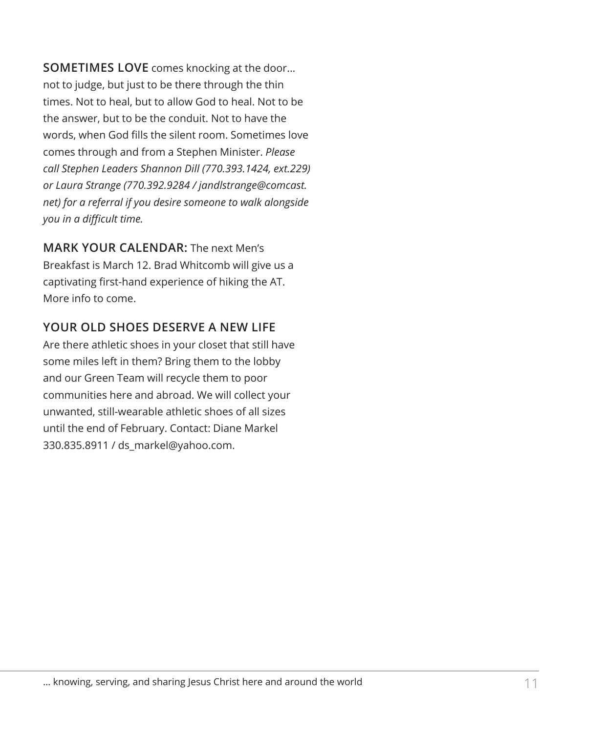**SOMETIMES LOVE** comes knocking at the door... not to judge, but just to be there through the thin times. Not to heal, but to allow God to heal. Not to be the answer, but to be the conduit. Not to have the words, when God fills the silent room. Sometimes love comes through and from a Stephen Minister. *Please call Stephen Leaders Shannon Dill (770.393.1424, ext.229) or Laura Strange (770.392.9284 / jandlstrange@comcast. net) for a referral if you desire someone to walk alongside you in a difficult time.*

**MARK YOUR CALENDAR:** The next Men's Breakfast is March 12. Brad Whitcomb will give us a captivating first-hand experience of hiking the AT. More info to come.

# **YOUR OLD SHOES DESERVE A NEW LIFE**

Are there athletic shoes in your closet that still have some miles left in them? Bring them to the lobby and our Green Team will recycle them to poor communities here and abroad. We will collect your unwanted, still-wearable athletic shoes of all sizes until the end of February. Contact: Diane Markel 330.835.8911 / ds\_markel@yahoo.com.